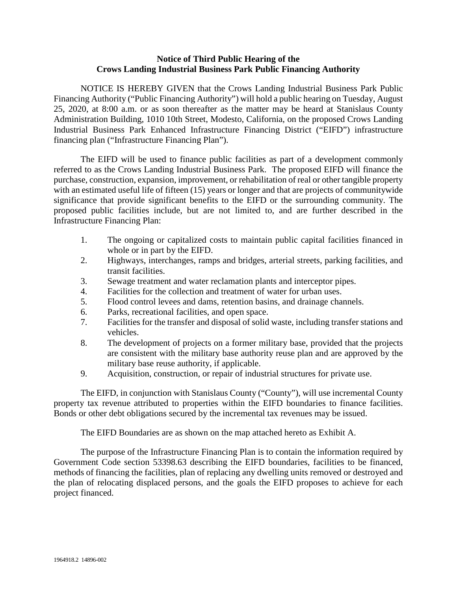## **Notice of Third Public Hearing of the Crows Landing Industrial Business Park Public Financing Authority**

NOTICE IS HEREBY GIVEN that the Crows Landing Industrial Business Park Public Financing Authority ("Public Financing Authority") will hold a public hearing on Tuesday, August 25, 2020, at 8:00 a.m. or as soon thereafter as the matter may be heard at Stanislaus County Administration Building, 1010 10th Street, Modesto, California, on the proposed Crows Landing Industrial Business Park Enhanced Infrastructure Financing District ("EIFD") infrastructure financing plan ("Infrastructure Financing Plan").

The EIFD will be used to finance public facilities as part of a development commonly referred to as the Crows Landing Industrial Business Park. The proposed EIFD will finance the purchase, construction, expansion, improvement, or rehabilitation of real or other tangible property with an estimated useful life of fifteen (15) years or longer and that are projects of community wide significance that provide significant benefits to the EIFD or the surrounding community. The proposed public facilities include, but are not limited to, and are further described in the Infrastructure Financing Plan:

- 1. The ongoing or capitalized costs to maintain public capital facilities financed in whole or in part by the EIFD.
- 2. Highways, interchanges, ramps and bridges, arterial streets, parking facilities, and transit facilities.
- 3. Sewage treatment and water reclamation plants and interceptor pipes.
- 4. Facilities for the collection and treatment of water for urban uses.
- 5. Flood control levees and dams, retention basins, and drainage channels.
- 6. Parks, recreational facilities, and open space.
- 7. Facilities for the transfer and disposal of solid waste, including transfer stations and vehicles.
- 8. The development of projects on a former military base, provided that the projects are consistent with the military base authority reuse plan and are approved by the military base reuse authority, if applicable.
- 9. Acquisition, construction, or repair of industrial structures for private use.

The EIFD, in conjunction with Stanislaus County ("County"), will use incremental County property tax revenue attributed to properties within the EIFD boundaries to finance facilities. Bonds or other debt obligations secured by the incremental tax revenues may be issued.

The EIFD Boundaries are as shown on the map attached hereto as Exhibit A.

The purpose of the Infrastructure Financing Plan is to contain the information required by Government Code section 53398.63 describing the EIFD boundaries, facilities to be financed, methods of financing the facilities, plan of replacing any dwelling units removed or destroyed and the plan of relocating displaced persons, and the goals the EIFD proposes to achieve for each project financed.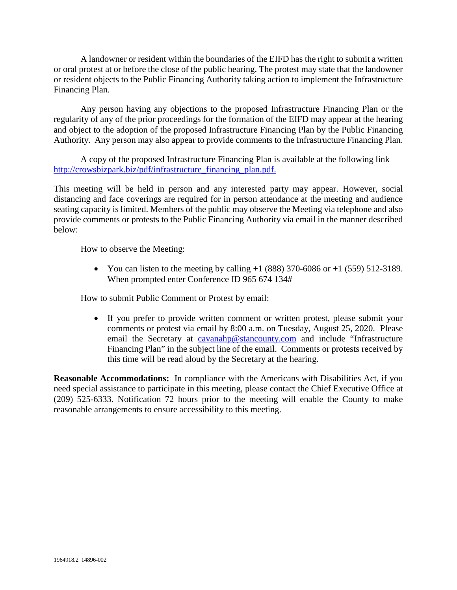A landowner or resident within the boundaries of the EIFD has the right to submit a written or oral protest at or before the close of the public hearing. The protest may state that the landowner or resident objects to the Public Financing Authority taking action to implement the Infrastructure Financing Plan.

Any person having any objections to the proposed Infrastructure Financing Plan or the regularity of any of the prior proceedings for the formation of the EIFD may appear at the hearing and object to the adoption of the proposed Infrastructure Financing Plan by the Public Financing Authority. Any person may also appear to provide comments to the Infrastructure Financing Plan.

A copy of the proposed Infrastructure Financing Plan is available at the following link [http://crowsbizpark.biz/pdf/infrastructure\\_financing\\_plan.pdf.](http://crowsbizpark.biz/pdf/infrastructure_financing_plan.pdf)

This meeting will be held in person and any interested party may appear. However, social distancing and face coverings are required for in person attendance at the meeting and audience seating capacity is limited. Members of the public may observe the Meeting via telephone and also provide comments or protests to the Public Financing Authority via email in the manner described below:

How to observe the Meeting:

• You can listen to the meeting by calling  $+1$  (888) 370-6086 or  $+1$  (559) 512-3189. When prompted enter Conference ID 965 674 134#

How to submit Public Comment or Protest by email:

• If you prefer to provide written comment or written protest, please submit your comments or protest via email by 8:00 a.m. on Tuesday, August 25, 2020. Please email the Secretary at [cavanahp@stancounty.com](mailto:cavanahp@stancounty.com) and include "Infrastructure Financing Plan" in the subject line of the email. Comments or protests received by this time will be read aloud by the Secretary at the hearing.

**Reasonable Accommodations:** In compliance with the Americans with Disabilities Act, if you need special assistance to participate in this meeting, please contact the Chief Executive Office at (209) 525-6333. Notification 72 hours prior to the meeting will enable the County to make reasonable arrangements to ensure accessibility to this meeting.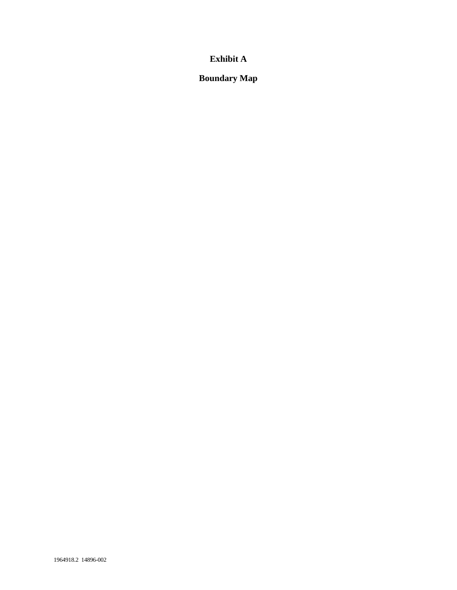## **Exhibit A**

**Boundary Map**